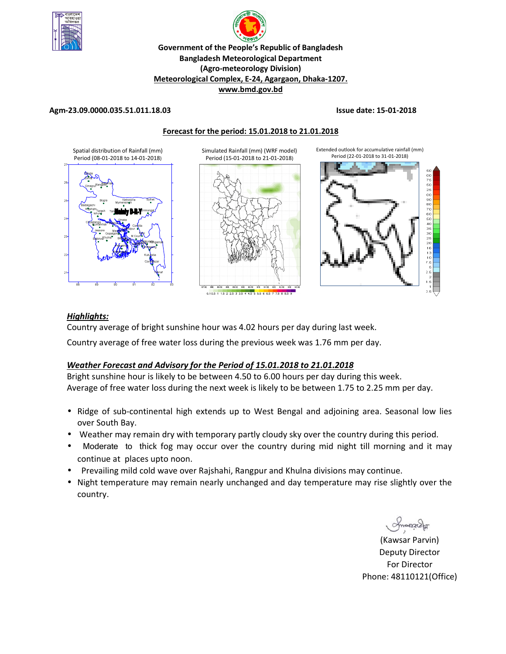



### **Government of the People's Republic of Bangladesh Bangladesh Meteorological Department (Agro-meteorology Division) Meteorological Complex, E-24, Agargaon, Dhaka-1207. www.bmd.gov.bd**

**Forecast for the period: 15.01.2018 to 21.01.2018**

### **Agm-23.09.0000.035.51.011.18.03 Issue date: 15-01-2018**

*Highlights:*



#### 0.10.5 1 1.5 2 2.5 3 3.5 4 4.5 5 5.5 6 6.5 7 7.5 8 8.5

Country average of bright sunshine hour was 4.02 hours per day during last week.

Country average of free water loss during the previous week was 1.76 mm per day.

# *Weather Forecast and Advisory for the Period of 15.01.2018 to 21.01.2018*

Bright sunshine hour is likely to be between 4.50 to 6.00 hours per day during this week. Average of free water loss during the next week is likely to be between 1.75 to 2.25 mm per day.

- Ridge of sub-continental high extends up to West Bengal and adjoining area. Seasonal low lies over South Bay.
- Weather may remain dry with temporary partly cloudy sky over the country during this period.
- Moderate to thick fog may occur over the country during mid night till morning and it may continue at places upto noon.
- Prevailing mild cold wave over Rajshahi, Rangpur and Khulna divisions may continue.
- Night temperature may remain nearly unchanged and day temperature may rise slightly over the country.

(Kawsar Parvin) Deputy Director For Director Phone: 48110121(Office)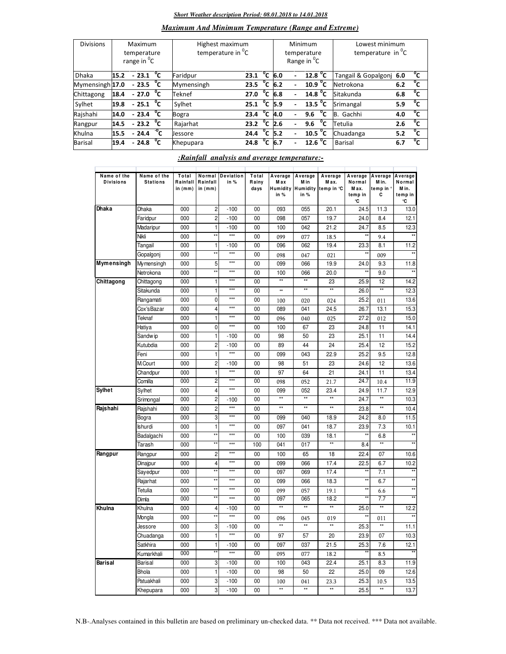#### *Short Weather description Period: 08.01.2018 to 14.01.2018*

# *Maximum And Minimum Temperature (Range and Extreme)*

| <b>Divisions</b> | Maximum<br>temperature<br>range in <sup>o</sup> C |                        |    | Highest maximum<br>temperature in <sup>o</sup> C |                          |                |     |                          | Minimum<br>temperature<br>Range in <sup>O</sup> C | Lowest minimum<br>temperature in C |     |                |
|------------------|---------------------------------------------------|------------------------|----|--------------------------------------------------|--------------------------|----------------|-----|--------------------------|---------------------------------------------------|------------------------------------|-----|----------------|
| <b>Dhaka</b>     | 15.2                                              | $-23.1\degree$ C       |    | Faridpur                                         | 23.1 $^{\circ}$ C        |                | 6.0 |                          | 12.8 <sup>o</sup> C                               | Tangail & Gopalgonj 6.0            |     | °c             |
| Mymensingh 17.0  |                                                   | $-23.5\text{ °C}$      |    | Mymensingh                                       | 23.5                     | $^{\circ}$ c   | 6.2 |                          | 10.9 <sup>o</sup> C                               | Netrokona                          | 6.2 | °c             |
| Chittagong       | 18.4                                              | $-27.0$                | ്c | Teknef                                           | 27.0                     | $^{\circ}$ c   | 6.8 | $\overline{\phantom{0}}$ | 14.8 <sup>o</sup> C                               | Sitakunda                          | 6.8 | °c             |
| Sylhet           | 19.8                                              | $-25.1$ <sup>o</sup> C |    | Sylhet                                           | 25.1                     | $^{\circ}$ c   | 5.9 |                          | 13.5 $\degree$ C                                  | Srimangal                          | 5.9 | °c             |
| Rajshahi         | 14.0                                              | $-23.4$ <sup>o</sup> C |    | Bogra                                            | 23.4                     | $^{\circ}$ C   | 4.0 | $\sim$                   | °c<br>9.6                                         | Gachhi<br>IB.                      | 4.0 | °c             |
| Rangpur          | 14.5                                              | $-23.2\text{ °C}$      |    | Rajarhat                                         | $23.2 \text{ }^{\circ}C$ |                | 2.6 |                          | °c<br>9.6                                         | Tetulia                            | 2.6 | °c             |
| Khulna           | 15.5                                              | $-24.4\degree$ °C      |    | <b>Jessore</b>                                   | 24.4                     | °c             | 5.2 |                          | 10.5 $^{\circ}$ C                                 | Chuadanga                          | 5.2 | °c             |
| Barisal          | 19.4                                              | $-24.8\text{ °C}$      |    | Khepupara                                        | 24.8                     | $\overline{C}$ | 6.7 |                          | 12.6 <sup>o</sup> C                               | <b>Barisal</b>                     | 6.7 | $\overline{c}$ |

#### *:Rainfall analysis and average temperature:-*

| Name of the<br><b>Divisions</b> | Name of the<br><b>Stations</b> | Total<br>Rainfall<br>in $(mm)$ | Normal<br>Rainfall<br>in $(mm)$ | <b>Deviation</b><br>in $%$ | Total<br>Rainy<br>days | Average<br>Max<br>in % | Average<br>M in<br>in % | Average<br>Max.<br>Humidity Humidity temp in °C | Average<br>Normal<br>Max.<br>temp in<br>°C | Average<br>M in.<br>temp in<br>c | Average<br>Normal<br>M in.<br>temp in<br>۰C |
|---------------------------------|--------------------------------|--------------------------------|---------------------------------|----------------------------|------------------------|------------------------|-------------------------|-------------------------------------------------|--------------------------------------------|----------------------------------|---------------------------------------------|
| Dhaka                           | Dhaka                          | 000                            | $\overline{\mathbf{c}}$         | $-100$                     | 00                     | 093                    | 055                     | 20.1                                            | 24.5                                       | 11.3                             | 13.0                                        |
|                                 | Faridpur                       | 000                            | $\overline{c}$                  | $-100$                     | 00                     | 098                    | 057                     | 19.7                                            | 24.0                                       | 8.4                              | 12.1                                        |
|                                 | Madaripur                      | 000                            | 1                               | $-100$                     | 0 <sub>0</sub>         | 100                    | 042                     | 21.2                                            | 24.7                                       | 8.5                              | 12.3                                        |
|                                 | Nikli                          | 000                            | $\star\star$                    | $***$                      | 00                     | 099                    | 077                     | 18.5                                            |                                            | 9.4                              |                                             |
|                                 | Tangail                        | 000                            | $\mathbf{1}$                    | $-100$                     | 00                     | 096                    | 062                     | 19.4                                            | 23.3                                       | 8.1                              | 11.2                                        |
|                                 | Gopalgonj                      | 000                            | $\star$                         | $\overline{***}$           | 00                     | 098                    | 047                     | 021                                             | $\star$                                    | 009                              |                                             |
| Mymensingh                      | Mymensingh                     | 000                            | 5                               | $***$                      | 00                     | 099                    | 066                     | 19.9                                            | 24.0                                       | 9.3                              | 11.8                                        |
|                                 | Netrokona                      | 000                            | $\star\star$                    | $***$                      | 00                     | 100                    | 066                     | 20.0                                            | **                                         | 9.0                              |                                             |
| Chittagong                      | Chittagong                     | 000                            | $\mathbf{1}$                    | $***$                      | 00                     | $\overline{**}$        | $\star\star$            | 23                                              | 25.9                                       | 12                               | 14.2                                        |
|                                 | Sitakunda                      | 000                            | $\mathbf{1}$                    | $***$                      | 00                     | **                     | $\star\star$            | $\star\star$                                    | 26.0                                       | $\star\star$                     | 12.3                                        |
|                                 | Rangamati                      | 000                            | 0                               | ***                        | 00                     | 100                    | 020                     | 024                                             | 25.2                                       | 011                              | 13.6                                        |
|                                 | Cox'sBazar                     | 000                            | 4                               | $***$                      | 00                     | 089                    | 041                     | 24.5                                            | 26.7                                       | 13.1                             | 15.3                                        |
|                                 | Teknaf                         | 000                            | 1                               | $***$                      | 0 <sub>0</sub>         | 096                    | 040                     | 025                                             | 27.2                                       | 012                              | 15.0                                        |
|                                 | Hatiya                         | 000                            | 0                               | $***$                      | 00                     | 100                    | 67                      | 23                                              | 24.8                                       | 11                               | 14.1                                        |
|                                 | Sandw ip                       | 000                            | $\mathbf{1}$                    | $-100$                     | 00                     | 98                     | 50                      | 23                                              | 25.1                                       | 11                               | 14.4                                        |
|                                 | Kutubdia                       | 000                            | $\overline{c}$                  | $-100$                     | 00                     | 89                     | 44                      | 24                                              | 25.4                                       | 12                               | 15.2                                        |
|                                 | Feni                           | 000                            | 1                               | ***                        | 00                     | 099                    | 043                     | 22.9                                            | 25.2                                       | 9.5                              | 12.8                                        |
|                                 | M.Court                        | 000                            | $\overline{\mathbf{c}}$         | $-100$                     | 00                     | 98                     | 51                      | 23                                              | 24.6                                       | 12                               | 13.6                                        |
|                                 | Chandpur                       | 000                            | $\mathbf{1}$                    | $***$                      | 00                     | 97                     | 64                      | 21                                              | 24.1                                       | 11                               | 13.4                                        |
|                                 | Comilla                        | 000                            | $\overline{c}$                  | $***$                      | 0 <sub>0</sub>         | 098                    | 052                     | 21.7                                            | 24.7                                       | 10.4                             | 11.9                                        |
| <b>Sylhet</b>                   | Sylhet                         | 000                            | 4                               | $***$                      | 00                     | 099                    | 052                     | 23.4                                            | 24.9                                       | 11.7                             | 12.9                                        |
|                                 | Srimongal                      | 000                            | $\overline{2}$                  | $-100$                     | 00                     | $\overline{1}$         | $\star\star$            | $\overline{11}$                                 | 24.7                                       | $\star\star$                     | 10.3                                        |
| Rajshahi                        | Rajshahi                       | 000                            | $\overline{c}$                  | $\frac{1}{2}$              | 00                     | $\star\star$           | $\star\star$            | $\star\star$                                    | 23.8                                       | $^{\star\star}$                  | 10.4                                        |
|                                 | Bogra                          | 000                            | 3                               | $***$                      | 00                     | 099                    | 040                     | 18.9                                            | 24.2                                       | 8.0                              | 11.5                                        |
|                                 | <b>Ishurdi</b>                 | 000                            | 1                               | $***$                      | 00                     | 097                    | 041                     | 18.7                                            | 23.9                                       | 7.3                              | 10.1                                        |
|                                 | Badalgachi                     | 000                            | $\star$                         | $***$                      | 00                     | 100                    | 039                     | 18.1                                            |                                            | 6.8                              |                                             |
|                                 | Tarash                         | 000                            | $\star\star$                    | $***$                      | 100                    | 041                    | 017                     | **                                              | 8.4                                        | $\star\star$                     |                                             |
| Rangpur                         |                                | 000                            | $\overline{2}$                  | $***$                      | 00                     | 100                    | 65                      | 18                                              | 22.4                                       | 07                               | 10.6                                        |
|                                 | Rangpur                        | 000                            | 4                               | $***$                      | 00                     | 099                    | 066                     | 17.4                                            | 22.5                                       | 6.7                              | 10.2                                        |
|                                 | Dinajpur                       |                                | ×۶                              | $***$                      |                        |                        |                         |                                                 | ×                                          |                                  | $\star\star$                                |
|                                 | Sayedpur                       | 000                            | ×۶                              | ***                        | 00                     | 097                    | 069                     | 17.4                                            | **                                         | 7.1<br>6.7                       | $\star\star$                                |
|                                 | Rajarhat                       | 000                            | $\star\star$                    | $\overline{}$              | 00                     | 099                    | 066                     | 18.3                                            | $\overline{\ddot{\mathbf{x}}^*}$           |                                  | $\star\star$                                |
|                                 | Tetulia                        | 000                            | $\star\star$                    | $***$                      | 00<br>00               | 099<br>097             | 057<br>065              | 19.1                                            |                                            | 6.6                              | $\star$                                     |
|                                 | Dimla                          | 000                            |                                 |                            |                        | $\star\star$           | **                      | 18.2<br>$\star\star$                            |                                            | 7.7<br>$\star\star$              |                                             |
| Khulna                          | Khulna                         | 000                            | 4<br>$\star$                    | $-100$<br>$***$            | 00                     |                        |                         |                                                 | 25.0<br>×۶                                 |                                  | 12.2                                        |
|                                 | Mongla                         | 000                            |                                 |                            | 00                     | 096<br>$\star\star$    | 045<br>$\star\star$     | 019<br>$\star\star$                             |                                            | 011<br>$\star\star$              |                                             |
|                                 | Jessore                        | 000                            | 3                               | $-100$                     | 00                     |                        |                         |                                                 | 25.3                                       |                                  | 11.1                                        |
|                                 | Chuadanga                      | 000                            | 1                               | ***                        | 00                     | 97                     | 57                      | 20                                              | 23.9                                       | 07                               | 10.3                                        |
|                                 | Satkhira                       | 000                            | 1<br>$\overline{1}$             | $-100$                     | 00                     | 097                    | 037                     | 21.5                                            | 25.3                                       | 7.6                              | 12.1                                        |
|                                 | Kumarkhali                     | 000                            |                                 | $***$                      | $\overline{00}$        | 095                    | 077                     | 18.2                                            |                                            | 8.5                              |                                             |
| <b>Barisal</b>                  | Barisal                        | 000                            | 3                               | $-100$                     | 00                     | 100                    | 043                     | 22.4                                            | 25.1                                       | 8.3                              | 11.9                                        |
|                                 | <b>Bhola</b>                   | 000                            | 1                               | $-100$                     | 00                     | 98                     | 50                      | 22                                              | 25.0                                       | 09                               | 12.6                                        |
|                                 | Patuakhali                     | 000                            | 3                               | $-100$                     | 0 <sub>0</sub>         | 100                    | 041                     | 23.3                                            | 25.3                                       | 10.5                             | 13.5                                        |
|                                 | Khepupara                      | 000                            | 3                               | $-100$                     | 00                     | $\star\star$           | $\star\star$            | $\star\star$                                    | 25.5                                       | $\star\star$                     | 13.7                                        |

N.B-.Analyses contained in this bulletin are based on preliminary un-checked data. \*\* Data not received. \*\*\* Data not available.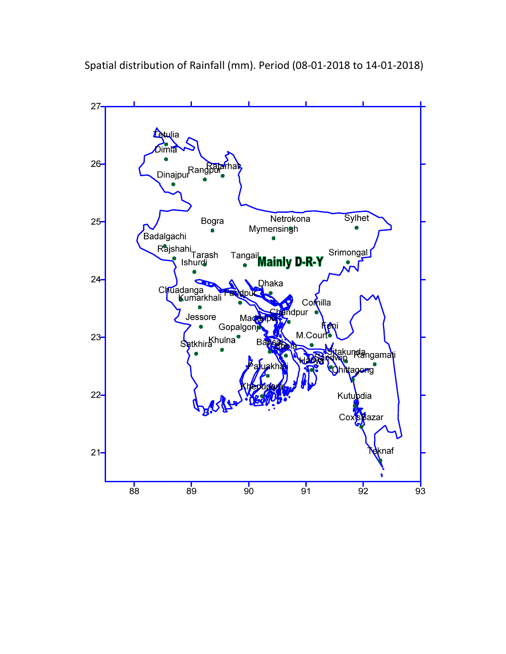Spatial distribution of Rainfall (mm). Period (08-01-2018 to 14-01-2018)

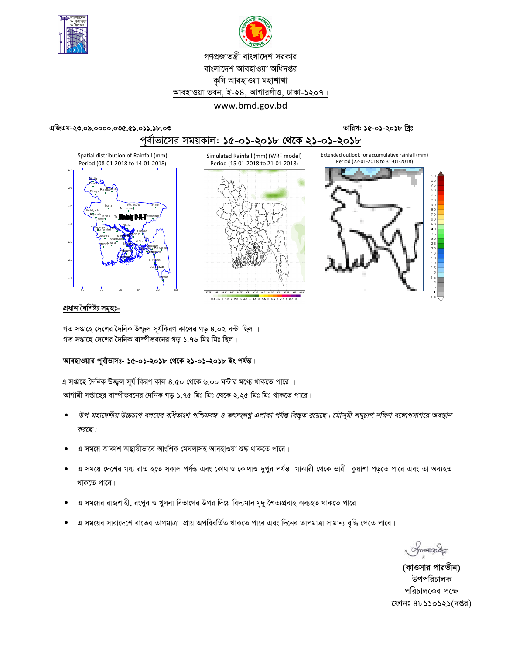



# গণপ্রজাতন্ত্রী বাংলাদেশ সরকার বাংলাদেশ আবহাওয়া অধিদপ্তর কৃষি আবহাওয়া মহাশাখা আবহাওয়া ভবন, ই-২৪, আগারগাঁও, ঢাকা-১২০৭। www.bmd.gov.bd

#### এজিএম-২৩.০৯.০০০০.০৩৫.৫১.০১১.১৮.০৩

## তারিখ: ১৫-০১-২০১৮ খ্রিঃ



Simulated Rainfall (mm) (WRF model)





0.10.5 1 1.5 2 2.5 3 3.5 4 4.5 5 5.5 6 6.5 7 7.5 8 8.5



#### প্ৰধান বৈশিষ্ট্য সমূহঃ-

গত সপ্তাহে দেশের দৈনিক উজ্জ্বল সূর্যকিরণ কালের গড় ৪.০২ ঘন্টা ছিল । গত সপ্তাহে দেশের দৈনিক বাঙ্গীভবনের গড় ১.৭৬ মিঃ মিঃ ছিল।

### আবহাওয়ার পূর্বাভাসঃ- ১৫-০১-২০১৮ থেকে ২১-০১-২০১৮ ইং পর্যন্ত।

এ সপ্তাহে দৈনিক উজ্জ্বল সূর্য কিরণ কাল ৪.৫০ থেকে ৬.০০ ঘন্টার মধ্যে থাকতে পারে । আগামী সপ্তাহের বাষ্পীভবনের দৈনিক গড় ১.৭৫ মিঃ মিঃ থেকে ২.২৫ মিঃ মিঃ থাকতে পারে।

- উপ-মহাদেশীয় উচ্চচাপ বলয়ের বর্ধিতাংশ পশ্চিমবঙ্গ ও তৎসংলগ্ন এলাকা পর্যন্ত বিস্তৃত রয়েছে। মৌসুমী লঘুচাপ দক্ষিণ বঙ্গোপসাগরে অবস্থান  $\bullet$ করছে।
- এ সময়ে আকাশ অস্থায়ীভাবে আংশিক মেঘলাসহ আবহাওয়া শুষ্ক থাকতে পারে।
- এ সময়ে দেশের মধ্য রাত হতে সকাল পর্যন্ত এবং কোথাও কোথাও দুপুর পর্যন্ত মাঝারী থেকে ভারী কুয়াশা পড়তে পারে এবং তা অব্যহত থাকতে পারে।
- এ সময়ের রাজশাহী, রংপুর ও খুলনা বিভাগের উপর দিয়ে বিদ্যমান মৃদু শৈত্যপ্রবাহ অব্যহত থাকতে পারে
- এ সময়ের সারাদেশে রাতের তাপমাত্রা প্রায় অপরিবর্তিত থাকতে পারে এবং দিনের তাপমাত্রা সামান্য বৃদ্ধি পেতে পারে।

Smanacha

(কাওসার পারভীন) উপপরিচালক পরিচালকের পক্ষে ফোনঃ ৪৮১১০১২১(দপ্তর)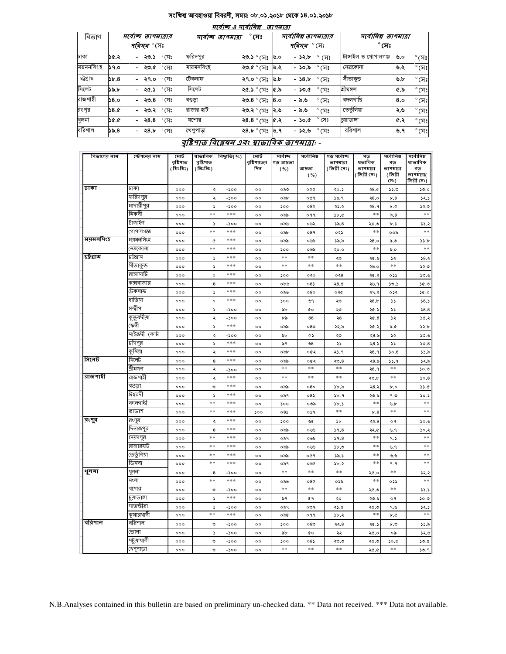#### <u>সংক্ষিপ্ত আবহাওয়া বিবরণী, সময়: ০৮.০১.২০১৮ থেকে ১৪.০১.২০১৮</u>  $\overline{+}$

 $\overline{\phantom{a}}$ 

 $-$ 

|           |      |                                           |                                    | માવાજ હ માવા।વક્ષ   | <i>9194131</i> |                                             |                          |                                      |     |                |
|-----------|------|-------------------------------------------|------------------------------------|---------------------|----------------|---------------------------------------------|--------------------------|--------------------------------------|-----|----------------|
| বিভাগ     |      | সৰ্বোচ্ছ তাপমাত্ৰাব<br><i>পরিসর °</i> (সং | $^\circ$ সেঃ<br>সৰ্বোচ্ছ তাপমাত্ৰা |                     |                | সর্বোনিম্ন তাপমাত্রার<br><i>পরিসর °</i> সেঃ |                          | সর্বোনিম্ন তাপমাত্রা<br>$^\circ$ সেঃ |     |                |
| ঢাকা      | ১৫.২ | - ২৩.১ ° সেঃ                              | ফরিদপুর                            | ২৩.১ ° সেঃ          | ৬.০            | - ১২.৮                                      | $^{\circ}$ (সেঃ          | টাঙ্গাইল ও গোপালগঞ্জ                 | ৬.০ | $^{\circ}$ (সঃ |
| ময়মনসিংহ | 59.0 | - ২৩.৫ ° সেঃ                              | মায়মনসিংহ                         | ২৩.৫ ° সেঃ          | ৬.২            | - ১০.৯                                      | $^\circ$ (ਸਃ             | নেত্ৰকোনা                            | ৬.২ | $^{\circ}$ (সঃ |
| চট্টগ্ৰাম | 55.8 | $^{\circ}$ সেঃ<br>- ২৭.০                  | টেকনাফ                             | ২৭.০ ° সেঃ          | ৬.৮            | $-58, b$                                    | $\degree$ সেঃ            | সীতাকুভ                              | ৬.৮ | $^{\circ}$ (সঃ |
| সিলেট     | ১৯.৮ | $^{\circ}$ সেঃ<br>২৫.১<br>$\sim$ $-$      | সিলেট                              | ২৫.১ ° সেঃ          | ራ. እ           | - ১৩.৫                                      | $\degree$ C $\mathrm{F}$ | শ্ৰীমঙ্গল                            | ৫.৯ | $^{\circ}$ (সঃ |
| রাজশাহী   | 58.0 | $^{\circ}$ সেঃ<br>- ২৩.৪                  | বণ্ডডা                             | ২৩.8 ° সেঃ          | 8,0            | - ৯.৬                                       | $^{\circ}$ (সঃ           | বদলগাছি                              | 8,0 | $^{\circ}$ (সঃ |
| রংপর      | 38.0 | - <b>২৩.২</b> °সেঃ                        | রাজার হাট                          | ২৩.২ ° সেঃ          | ।২.৬           | - ৯.৬                                       | $^{\circ}$ (সঃ           | তেতুঁলিয়া                           | ২.৬ | $^{\circ}$ (সঃ |
| খুলনা     | ১৫.৫ | $^{\circ}$ সেঃ<br>- ২৪.৪                  | যশোর                               | ২8.8 $^{\circ}$ (সঃ | ৫.২            | $-$ 50.0                                    | $^{\circ}$ সেঃ           | চয়াডাঙ্গা                           | ৫.২ | $^{\circ}$ (সঃ |
| বরিশাল    | ১৯.৪ | $^{\circ}$ সেঃ<br>- ২৪.৮                  | খেপুপাড়া                          | ২8.৮ ° সেঃ          | ৬.৭            | - ১২.৬                                      | $\degree$ সেঃ            | ররিশাল                               | ৬.৭ | $^{\circ}$ (সঃ |
|           |      |                                           |                                    |                     |                |                                             |                          |                                      |     |                |

# বৃষ্টিপাত বিশ্লেষন এবং ম্বাভাবিক তাপমাত্রা: -

| বিভাগের নাম | স্টেশনের নাম         | মোট<br>বৃষ্টিশাত | ষাভাবিক<br>বৃষ্টিপাত     | বিছ্যুতি(%) | মোট                   | সৰ্বোচ্ছ          | সৰ্বোনিম্ন     | গড় সৰ্বোচ্ছ              | গড়<br>ষভাবিক             | সৰ্বোনিম্ন                         | সৰ্বোনিম্ন<br>ষাভাবিক            |
|-------------|----------------------|------------------|--------------------------|-------------|-----------------------|-------------------|----------------|---------------------------|---------------------------|------------------------------------|----------------------------------|
|             |                      | ( মিঃমিঃ)        | (মিঃমিঃ)                 |             | বৃষ্টিশাতের<br>দিন    | গড আদ্রতা<br>( %) | আদ্ৰতা<br>( %) | তাপমাত্রা<br>(ডিগ্ৰী সেঃ) | তাপমাত্রা<br>(ডিগ্ৰী সেঃ) | গড<br>তাপমাত্রা<br>(ডিগ্ৰী<br>(সঃ) | গড়<br>তাপমাত্রা(<br>ডিগ্ৰী সেঃ) |
| ঢাকা        | ঢাকা                 | 000              | ২                        | -200        | $^{\circ}$            | ০৯৩               | ०७०            | ২০.১                      | 28.0                      | 33.0                               | 50.0                             |
|             | ফরিদপুর              | 000              | ২                        | -১০০        | $^{\circ}$            | ০৯৮               | ०৫१            | 38.9                      | 28.0                      | b.8                                | 32.5                             |
|             | মাদারীপুর            | 000              | $\overline{\phantom{a}}$ | $-500$      | $^{\circ}$            | ১০০               | ০৪২            | ২১.২                      | २8.१                      | $\mathfrak{b}$ . $\mathfrak{c}$    | 52.5                             |
|             | নিকলী                | 000              | $**$                     | ***         | $^{\circ}$            | ০৯৯               | ०११            | b.c                       | $**$                      | $\delta.8$                         | $\ast$ $\ast$                    |
|             | টাঙ্গাইল             | 000              | s                        | -200        | $^{\circ}$            | ০৯৬               | ০৬২            | ১৯.৪                      | ২৩.৩                      | ৮.১                                | 33.3                             |
|             | গোপালগজ্ঞ            | 000              | **                       | ***         | $^{oo}$               | ০৯৮               | 089            | ০২১                       | $**$                      | ००৯                                | $**$                             |
| ময়মনসিংহ   | ময়মনসিংহ            | 000              | ¢                        | ***         | $^{oo}$               | ০৯৯               | ০৬৬            | ১৯.৯                      | 28.0                      | ৯.৩                                | 55.b                             |
|             | নেত্ৰকোনা            | 000              | **                       | ***         | $^{\circ}$            | ১০০               | ০৬৬            | ২০.০                      | $**$                      | ৯.০                                | $**$                             |
| চট্ৰগ্ৰাম   | ঢট্ৰগ্ৰাম            | 000              | $\mathcal{L}$            | ***         | $^{oo}$               | **                | **             | ২৩                        | ২৫.৯                      | ১২                                 | 38.3                             |
|             | সীতাকুন্ড            | 000              | د                        | ***         | $^{\circ}$            | **                | $**$           | **                        | ২৬.০                      | **                                 | 52.5                             |
|             | রাঙ্গামাটি           | 000              | $\circ$                  | ***         | $^{\circ}$            | ১০০               | ০২০            | 0.38                      | ২৫.২                      | ০১১                                | 30.9                             |
|             | কক্সবাজার            | 000              | 8                        | ***         | 00                    | ০৮৯               | $08\lambda$    | 28.0                      | ২৬. ৭                     | 50.5                               | 36.9                             |
|             | টেকনাফ               | 000              | ډ                        | ***         | $^{\circ}$            | ০৯৬               | 080            | ০২৫                       | ২৭.২                      | ০১২                                | 30.0                             |
|             | হাতিয়া              | 000              | $\circ$                  | ***         | $^{\circ}$            | 500               | ৬৭             | ২৩                        | 28.b                      | دد                                 | 58.5                             |
|             | সন্দ্বীপ             | 000              | s                        | -200        | 00                    | ৯৮                | <b>CO</b>      | ২৩                        | ২৫.১                      | دد                                 | 58.8                             |
|             | কুতুবদীয়া           | 000              | ২                        | -১০০        | $^{\circ}$            | ৮৯                | 88             | ২৪                        | ২৫.৪                      | ১২                                 | 30.3                             |
|             | ফেনী                 | 000              | ς                        | ***         | $^{\circ}$            | ০৯৯               | 080            | ২২.৯                      | ২৫.২                      | $\delta$ .                         | 52.b                             |
|             | মাইজদী কোর্ট         | 000              | ২                        | $-200$      | $^{oo}$               | ৯৮                | GS             | ২৩                        | ২8.৬                      | ১২                                 | 30.6                             |
|             | চাঁদপুর              | 000              | $\blacktriangleright$    | ***         | $\circ$               | ৯৭                | ৬৪             | ২১                        | 28.5                      | دد                                 | 50.8                             |
|             | কৃমিল্লা             | 000              | ২                        | ***         | $^{\circ}$            | ০৯৮               | ০৫২            | ২১.৭                      | २8.१                      | 50.8                               | 33.5                             |
| সিলেট       | সিলেট                | 000              | 8                        | ***         | $^{oo}$               | ০৯৯               | ০৫২            | 20.8                      | ২৪.৯                      | 33.9                               | ১২.৯                             |
|             | শ্ৰীমঙ্গল            | 000              | ২                        | -200        | $^{\circ}$            | **                | **             | **                        | २8.१                      | **                                 | 50.3                             |
| ৰাজশাহী     | রাজশাহী              | 000              | ২                        | ***         | $^{\circ}$            | **                | $**$           | $**$                      | ২৩.৮                      | **                                 | 50.8                             |
|             | বগুডা                | 000              | ৩                        | ***         | $^{oo}$               | ০৯৯               | 080            | 3b.5                      | ২৪.২                      | b.o                                | 33.0                             |
|             | ঈশ্বরদী              | 000              | د                        | ***         | $^{\circ}$            | ০৯৭               | 085            | 3b.9                      | ২৩.৯                      | ৭.৩                                | 30.5                             |
|             | বদলগাঘী              | 000              | **                       | ***         | $^{\circ}$            | ১০০               | ০৩৯            | 3b.5                      | **                        | ৬.৮                                | $**$                             |
|             | তাডাশ                | 000              | **                       | ***         | ১০০                   | 085               | ०১৭            | $**$                      | b.8                       | $**$                               | $**$                             |
| রংগুব       | রংপুর                | 000              | ٠                        | ***         | $^{\circ}$            | ১০০               | ৬৫             | ১৮                        | ২২.৪                      | o٩                                 | ১০.৬                             |
|             | দিনাজপুর             | 000              | 8<br>**                  | ***<br>***  | $^{\circ}$            | ০৯৯               | ০৬৬            | 39.8                      | ২২.৫<br>$**$              | ৬.৭                                | 30.3<br>$**$                     |
|             | সৈয়দপুর<br>রাজারহাট | 000              | **                       | ***         | $^{oo}$               | ০৯৭               | ০৬৯            | 39.8                      | $**$                      | ۹.১                                | $**$                             |
|             | তেতুঁলিয়া           | 000              | **                       | ***         | $^{\circ}$            | ০৯৯               | ০৬৬            | 5b.9                      | $**$                      | ৬.৭                                | $**$                             |
|             | ডিমলা                | 000<br>000       | $**$                     | ***         | $^{\circ}$<br>$\circ$ | ০৯৯<br>০৯৭        | ०৫१<br>০৬৫     | 35.5<br>১৮.২              | $**$                      | ৬.৬<br>۹.۹                         | **                               |
|             | থুলনা                |                  |                          |             |                       | **                | $***$          | **                        |                           | **                                 |                                  |
| থুলনা       | মংলা                 | 000              | 8<br>**                  | -১০০<br>*** | $^{\circ}$            |                   |                |                           | ২৫.০<br>$**$              |                                    | 25.3<br>**                       |
|             | যশোর                 | 000<br>000       | ৩                        | $-200$      | $^{\circ}$<br>$^{oo}$ | ০৯৬<br>**         | 080<br>**      | ০১৯<br>$**$               |                           | ০১১<br>$**$                        | 33.3                             |
|             | চুয়াডাঙ্গা          |                  |                          | ***         |                       |                   |                |                           | ২৫.৩                      |                                    |                                  |
|             | সাতস্কীরা            | 000<br>000       | s<br>د                   | -১০০        | $^{\circ}$<br>$\circ$ | ৯৭<br>০৯৭         | 69<br>०७१      | ২০<br>২১.৫                | ২৩.৯<br>২৫.৩              | o٩<br>৭.৬                          | 50.9<br>32.5                     |
|             | কুমারথালী            | 000              | **                       | ***         | $^{\circ}$            | ০৯৫               | ०११            | ১৮.২                      | $**$                      | b.C                                | $**$                             |
| ববিশাল      | বরিশাল               | 000              | ৩                        | -১০০        | $^{\circ}$            | ১০০               | 080            | ২২.৪                      | ২৫.১                      | ৮.৩                                | 33.8                             |
|             | ভোলা                 | 000              | ډ                        | $-200$      | $^{\circ}$            | ৯৮                | <b>c</b> o     | ২২                        | ২৫.০                      | ০৯                                 | ১২.৬                             |
|             | পটুয়াথালী           | 000              | ৩                        | $-500$      | $^{oo}$               | 500               | 08             | ২৩.৩                      | ২৫.৩                      | 0.06                               | 50.6                             |
|             | খেপুপাডা             | 000              | ৩                        | -200        | $\circ$               | **                | $**$           | **                        |                           | **                                 | 30.9                             |
|             |                      |                  |                          |             |                       |                   |                |                           | ২৫.৫                      |                                    |                                  |

N.B.Analyses contained in this bulletin are based on preliminary un-checked data. \*\* Data not received. \*\*\* Data not available.